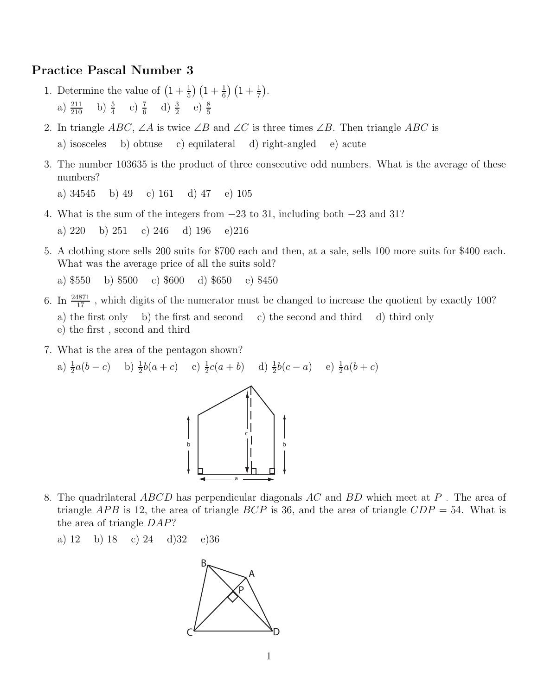## Practice Pascal Number 3

- 1. Determine the value of  $\left(1+\frac{1}{5}\right)\left(1+\frac{1}{6}\right)\left(1+\frac{1}{7}\right)$ . a)  $\frac{211}{210}$  b)  $\frac{5}{4}$  c)  $\frac{7}{6}$  d)  $\frac{3}{2}$  e)  $\frac{8}{5}$
- 2. In triangle ABC, ∠A is twice ∠B and ∠C is three times ∠B. Then triangle ABC is a) isosceles b) obtuse c) equilateral d) right-angled e) acute
- 3. The number 103635 is the product of three consecutive odd numbers. What is the average of these numbers?

a) 34545 b) 49 c) 161 d) 47 e) 105

4. What is the sum of the integers from <sup>−</sup>23 to 31, including both <sup>−</sup>23 and 31?

a) 220 b) 251 c) 246 d) 196 e)216

5. A clothing store sells 200 suits for \$700 each and then, at a sale, sells 100 more suits for \$400 each. What was the average price of all the suits sold?

a) \$550 b) \$500 c) \$600 d) \$650 e) \$450

- 6. In  $\frac{24871}{17}$ , which digits of the numerator must be changed to increase the quotient by exactly 100? a) the first only b) the first and second c) the second and third d) third only e) the first , second and third
- 7. What is the area of the pentagon shown?

a)  $\frac{1}{2}a(b-c)$  b)  $\frac{1}{2}b(a+c)$  c)  $\frac{1}{2}c(a+b)$  d)  $\frac{1}{2}b(c-a)$  e)  $\frac{1}{2}a(b+c)$ 



8. The quadrilateral  $ABCD$  has perpendicular diagonals AC and BD which meet at P. The area of triangle APB is 12, the area of triangle BCP is 36, and the area of triangle  $CDP = 54$ . What is the area of triangle DAP?

a) 12 b) 18 c) 24 d)32 e)36